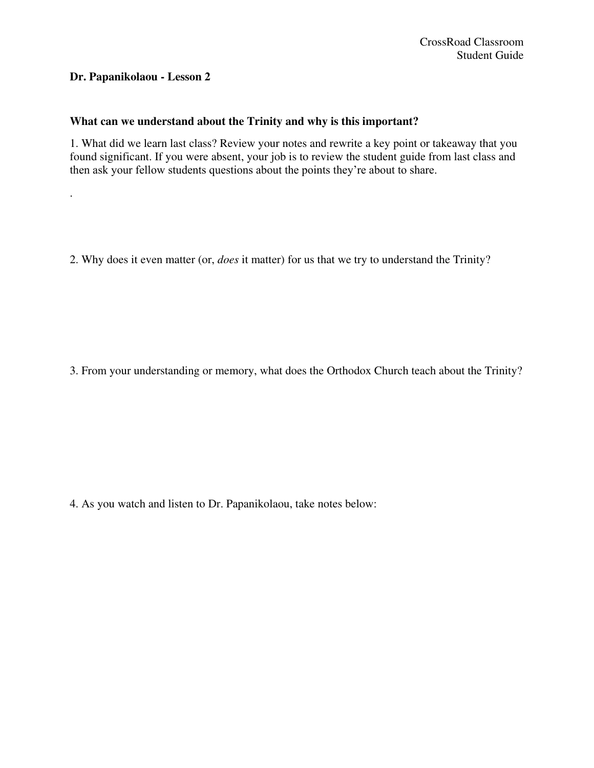# **Dr. Papanikolaou - Lesson 2**

.

# **What can we understand about the Trinity and why is this important?**

1. What did we learn last class? Review your notes and rewrite a key point or takeaway that you found significant. If you were absent, your job is to review the student guide from last class and then ask your fellow students questions about the points they're about to share.

2. Why does it even matter (or, *does* it matter) for us that we try to understand the Trinity?

3. From your understanding or memory, what does the Orthodox Church teach about the Trinity?

4. As you watch and listen to Dr. Papanikolaou, take notes below: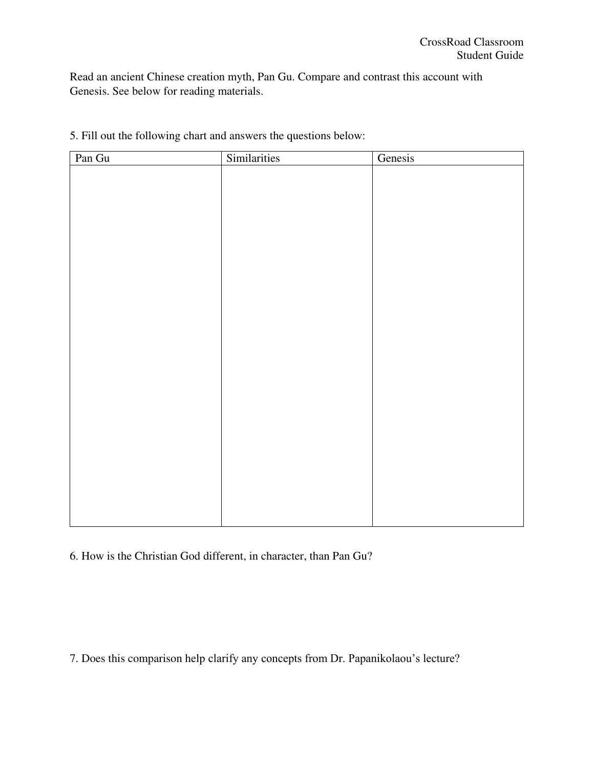Read an ancient Chinese creation myth, Pan Gu. Compare and contrast this account with Genesis. See below for reading materials.

| Pan Gu | Similarities | Genesis |
|--------|--------------|---------|
|        |              |         |
|        |              |         |
|        |              |         |
|        |              |         |
|        |              |         |
|        |              |         |
|        |              |         |
|        |              |         |
|        |              |         |
|        |              |         |
|        |              |         |
|        |              |         |
|        |              |         |
|        |              |         |
|        |              |         |
|        |              |         |
|        |              |         |
|        |              |         |
|        |              |         |
|        |              |         |
|        |              |         |
|        |              |         |
|        |              |         |
|        |              |         |
|        |              |         |
|        |              |         |

5. Fill out the following chart and answers the questions below:

6. How is the Christian God different, in character, than Pan Gu?

7. Does this comparison help clarify any concepts from Dr. Papanikolaou's lecture?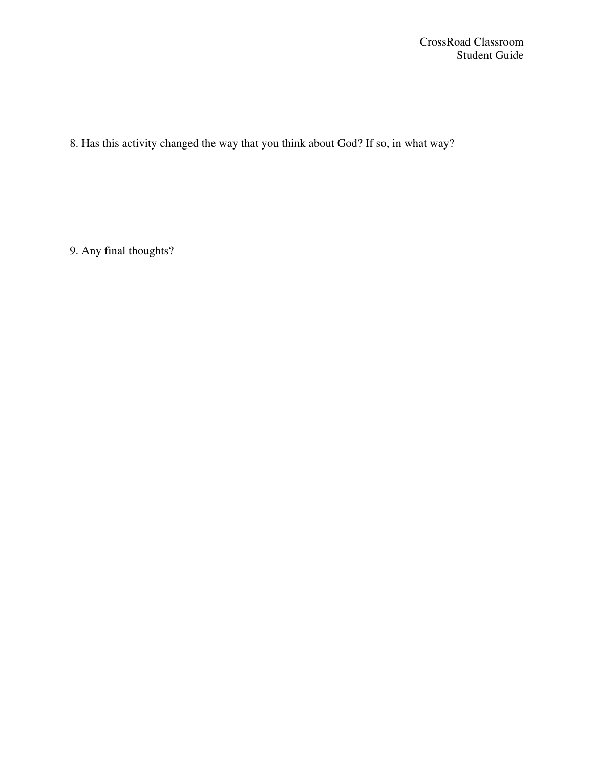8. Has this activity changed the way that you think about God? If so, in what way?

9. Any final thoughts?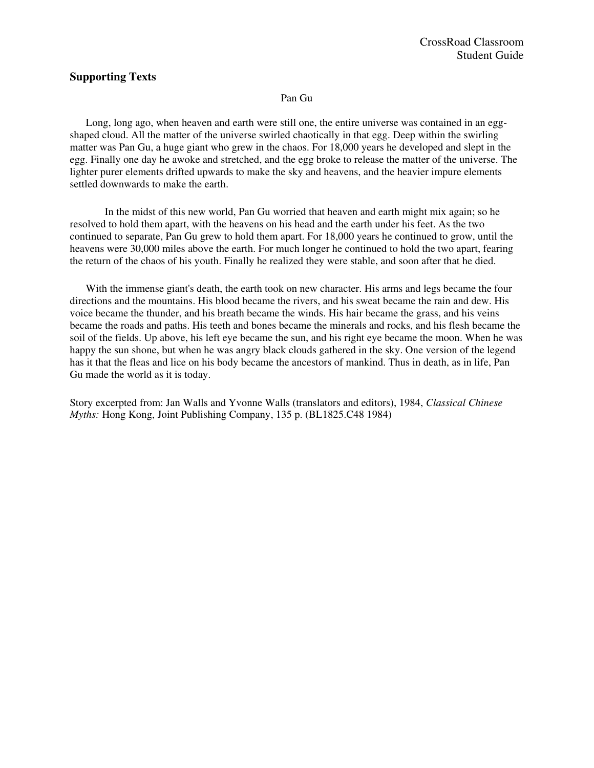## **Supporting Texts**

### Pan Gu

 Long, long ago, when heaven and earth were still one, the entire universe was contained in an eggshaped cloud. All the matter of the universe swirled chaotically in that egg. Deep within the swirling matter was Pan Gu, a huge giant who grew in the chaos. For 18,000 years he developed and slept in the egg. Finally one day he awoke and stretched, and the egg broke to release the matter of the universe. The lighter purer elements drifted upwards to make the sky and heavens, and the heavier impure elements settled downwards to make the earth.

 In the midst of this new world, Pan Gu worried that heaven and earth might mix again; so he resolved to hold them apart, with the heavens on his head and the earth under his feet. As the two continued to separate, Pan Gu grew to hold them apart. For 18,000 years he continued to grow, until the heavens were 30,000 miles above the earth. For much longer he continued to hold the two apart, fearing the return of the chaos of his youth. Finally he realized they were stable, and soon after that he died.

 With the immense giant's death, the earth took on new character. His arms and legs became the four directions and the mountains. His blood became the rivers, and his sweat became the rain and dew. His voice became the thunder, and his breath became the winds. His hair became the grass, and his veins became the roads and paths. His teeth and bones became the minerals and rocks, and his flesh became the soil of the fields. Up above, his left eye became the sun, and his right eye became the moon. When he was happy the sun shone, but when he was angry black clouds gathered in the sky. One version of the legend has it that the fleas and lice on his body became the ancestors of mankind. Thus in death, as in life, Pan Gu made the world as it is today.

Story excerpted from: Jan Walls and Yvonne Walls (translators and editors), 1984, *Classical Chinese Myths:* Hong Kong, Joint Publishing Company, 135 p. (BL1825.C48 1984)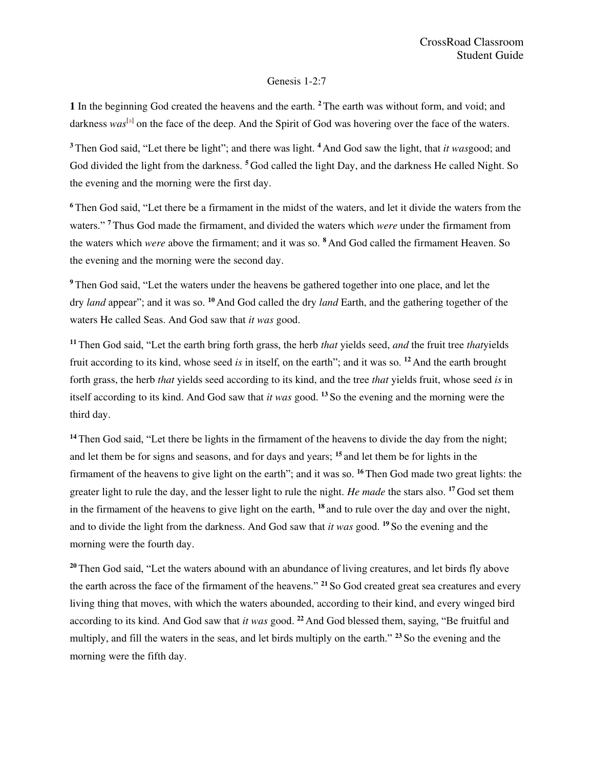### Genesis 1-2:7

**1** In the beginning God created the heavens and the earth. **<sup>2</sup>**The earth was without form, and void; and darkness was<sup>[\[a\]](https://www.biblegateway.com/passage/?search=Genesis+1#fen-NKJV-2a)</sup> on the face of the deep. And the Spirit of God was hovering over the face of the waters.

**<sup>3</sup>**Then God said, "Let there be light"; and there was light. **<sup>4</sup>**And God saw the light, that *it was*good; and God divided the light from the darkness. **<sup>5</sup>**God called the light Day, and the darkness He called Night. So the evening and the morning were the first day.

**<sup>6</sup>**Then God said, "Let there be a firmament in the midst of the waters, and let it divide the waters from the waters." **<sup>7</sup>**Thus God made the firmament, and divided the waters which *were* under the firmament from the waters which *were* above the firmament; and it was so. **<sup>8</sup>**And God called the firmament Heaven. So the evening and the morning were the second day.

**<sup>9</sup>**Then God said, "Let the waters under the heavens be gathered together into one place, and let the dry *land* appear"; and it was so. **<sup>10</sup>** And God called the dry *land* Earth, and the gathering together of the waters He called Seas. And God saw that *it was* good.

**<sup>11</sup>** Then God said, "Let the earth bring forth grass, the herb *that* yields seed, *and* the fruit tree *that*yields fruit according to its kind, whose seed *is* in itself, on the earth"; and it was so. **<sup>12</sup>** And the earth brought forth grass, the herb *that* yields seed according to its kind, and the tree *that* yields fruit, whose seed *is* in itself according to its kind. And God saw that *it was* good. **<sup>13</sup>** So the evening and the morning were the third day.

<sup>14</sup> Then God said, "Let there be lights in the firmament of the heavens to divide the day from the night; and let them be for signs and seasons, and for days and years; **<sup>15</sup>** and let them be for lights in the firmament of the heavens to give light on the earth"; and it was so. **<sup>16</sup>** Then God made two great lights: the greater light to rule the day, and the lesser light to rule the night. *He made* the stars also. **<sup>17</sup>** God set them in the firmament of the heavens to give light on the earth, **<sup>18</sup>** and to rule over the day and over the night, and to divide the light from the darkness. And God saw that *it was* good. **<sup>19</sup>** So the evening and the morning were the fourth day.

<sup>20</sup> Then God said, "Let the waters abound with an abundance of living creatures, and let birds fly above the earth across the face of the firmament of the heavens." **<sup>21</sup>** So God created great sea creatures and every living thing that moves, with which the waters abounded, according to their kind, and every winged bird according to its kind. And God saw that *it was* good. **<sup>22</sup>** And God blessed them, saying, "Be fruitful and multiply, and fill the waters in the seas, and let birds multiply on the earth." **<sup>23</sup>** So the evening and the morning were the fifth day.